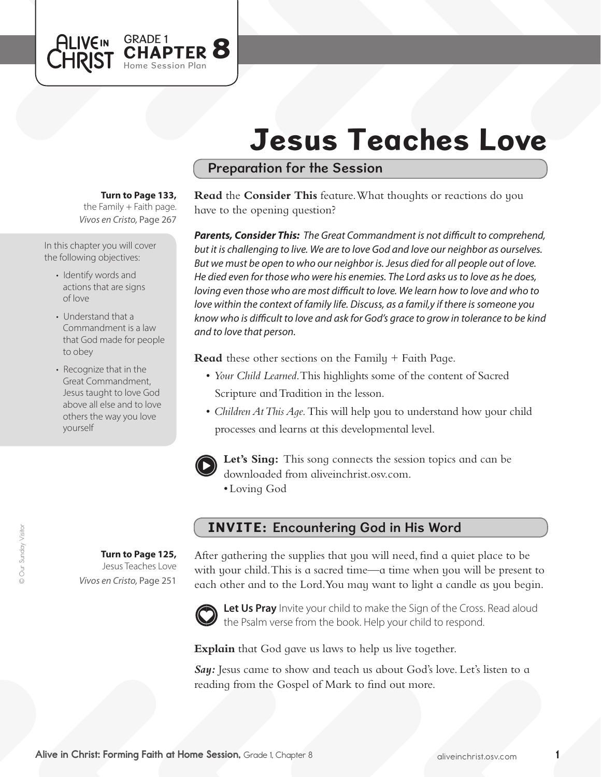# Jesus Teaches Love

### Preparation for the Session

#### **Turn to Page 133,**

GRADE 1

Home Session Plan

**APTER 8** 

the Family  $+$  Faith page. *Vivos en Cristo,* Page 267

In this chapter you will cover the following objectives:

**ALIVEIN** 

CHRIST

- Identify words and actions that are signs of love
- Understand that a Commandment is a law that God made for people to obey
- Recognize that in the Great Commandment, Jesus taught to love God above all else and to love others the way you love yourself

**Turn to Page 125,** Jesus Teaches Love *Vivos en Cristo,* Page 251

#### **Read** the **Consider This** feature. What thoughts or reactions do you have to the opening question?

*Parents, Consider This: The Great Commandment is not difficult to comprehend, but it is challenging to live. We are to love God and love our neighbor as ourselves. But we must be open to who our neighbor is. Jesus died for all people out of love. He died even for those who were his enemies. The Lord asks us to love as he does,*  loving even those who are most difficult to love. We learn how to love and who to *love within the context of family life. Discuss, as a famil,y if there is someone you know who is difficult to love and ask for God's grace to grow in tolerance to be kind and to love that person.* 

**Read** these other sections on the Family + Faith Page.

- • *Your Child Learned*. This highlights some of the content of Sacred Scripture and Tradition in the lesson.
- *Children At This Aqe*. This will help you to understand how your child processes and learns at this developmental level.



Let's Sing: This song connects the session topics and can be downloaded from aliveinchrist.osv.com.

• Loving God

## INVITE: Encountering God in His Word

After gathering the supplies that you will need, find a quiet place to be with your child. This is a sacred time—a time when you will be present to each other and to the Lord.You may want to light a candle as you begin.



Let Us Pray Invite your child to make the Sign of the Cross. Read aloud the Psalm verse from the book. Help your child to respond.

**Explain** that God gave us laws to help us live together.

*Say:* Jesus came to show and teach us about God's love. Let's listen to a reading from the Gospel of Mark to find out more.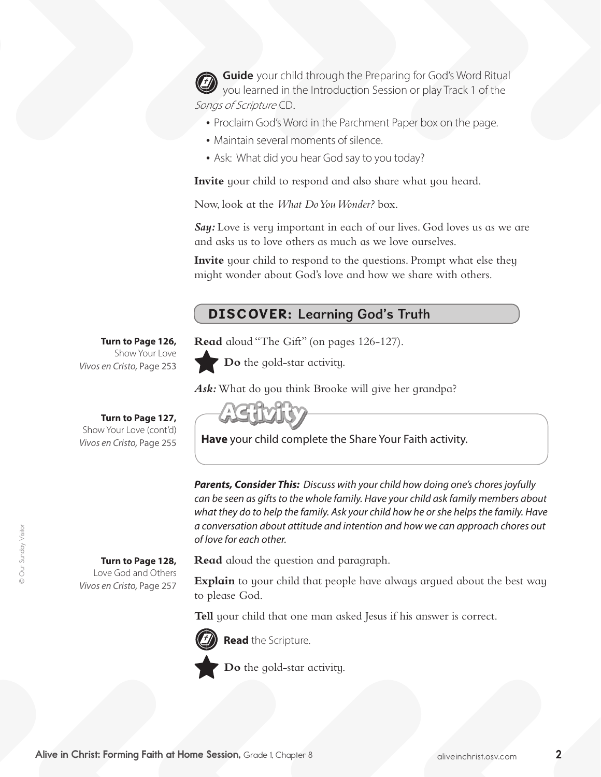**Guide** your child through the Preparing for God's Word Ritual you learned in the Introduction Session or play Track 1 of the Songs of Scripture CD.

- Proclaim God's Word in the Parchment Paper box on the page.
- Maintain several moments of silence.
- Ask: What did you hear God say to you today?

**Invite** your child to respond and also share what you heard.

Now, look at the *What Do You Wonder?* box.

**Say:** Love is very important in each of our lives. God loves us as we are and asks us to love others as much as we love ourselves.

**Invite** your child to respond to the questions. Prompt what else they might wonder about God's love and how we share with others.

## DISCOVER: Learning God's Truth

**Read** aloud "The Gift" (on pages 126-127).



**Do** the gold-star activity.

Ask: What do you think Brooke will give her grandpa?

**Have** your child complete the Share Your Faith activity.

**Turn to Page 127,** 

**Turn to Page 126,** Show Your Love

Show Your Love (cont'd) *Vivos en Cristo,* Page 255

*Vivos en Cristo,* Page 253

**Turn to Page 128,** Love God and Others

*Vivos en Cristo,* Page 257

**Read** aloud the question and paragraph.

**Explain** to your child that people have always argued about the best way to please God.

*Parents, Consider This: Discuss with your child how doing one's chores joyfully can be seen as gifts to the whole family. Have your child ask family members about what they do to help the family. Ask your child how he or she helps the family. Have a conversation about attitude and intention and how we can approach chores out* 

**Tell** your child that one man asked Jesus if his answer is correct.



**Read** the Scripture.



*of love for each other.*

**Do** the gold-star activity.

© Our Sunday Visitor © Our Sunday Visitor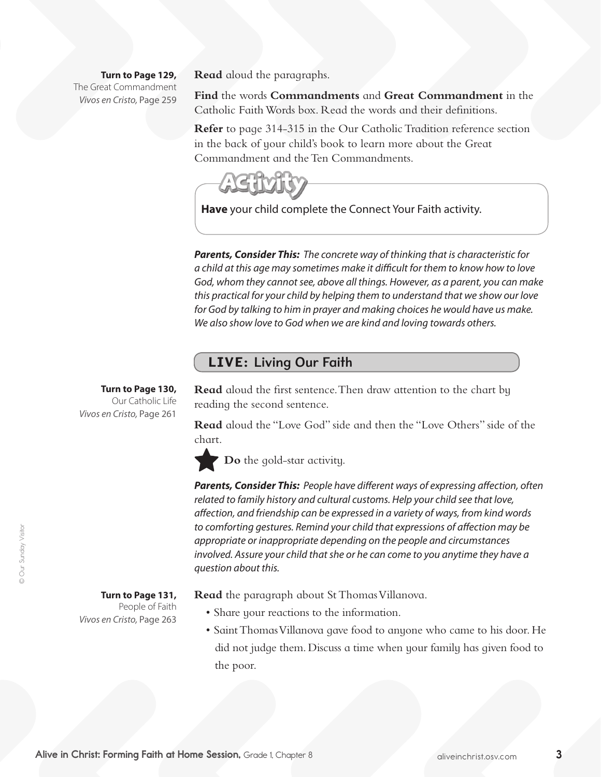**Turn to Page 129,** The Great Commandment *Vivos en Cristo,* Page 259 **Read** aloud the paragraphs.

**Find** the words **Commandments** and **Great Commandment** in the Catholic Faith Words box. Read the words and their definitions.

**Refer** to page 314-315 in the Our Catholic Tradition reference section in the back of your child's book to learn more about the Great Commandment and the Ten Commandments.



**Have** your child complete the Connect Your Faith activity.

*Parents, Consider This: The concrete way of thinking that is characteristic for a child at this age may sometimes make it difficult for them to know how to love God, whom they cannot see, above all things. However, as a parent, you can make this practical for your child by helping them to understand that we show our love for God by talking to him in prayer and making choices he would have us make. We also show love to God when we are kind and loving towards others.* 

#### LIVE: Living Our Faith

**Turn to Page 130,**  Our Catholic Life *Vivos en Cristo,* Page 261

**Read** aloud the first sentence. Then draw attention to the chart by reading the second sentence.

**Read** aloud the "Love God" side and then the "Love Others" side of the chart.

**Do** the gold-star activity.

*Parents, Consider This: People have different ways of expressing affection, often related to family history and cultural customs. Help your child see that love, affection, and friendship can be expressed in a variety of ways, from kind words to comforting gestures. Remind your child that expressions of affection may be appropriate or inappropriate depending on the people and circumstances involved. Assure your child that she or he can come to you anytime they have a question about this.*

**Turn to Page 131,**  People of Faith *Vivos en Cristo,* Page 263 **Read** the paragraph about St Thomas Villanova.

- Share your reactions to the information.
- Saint Thomas Villanova qave food to anyone who came to his door. He did not judge them. Discuss a time when your family has given food to the poor.